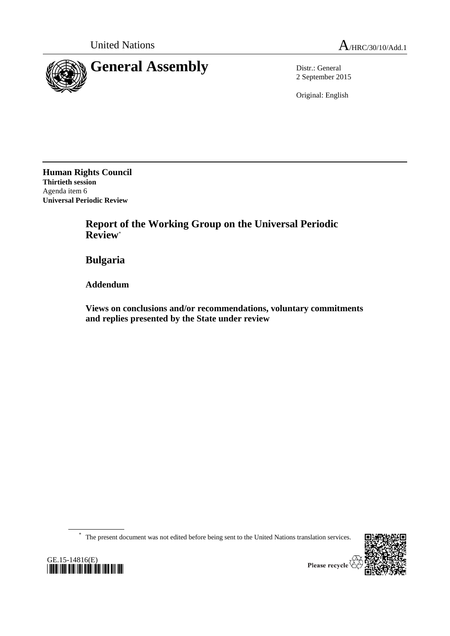

2 September 2015

Original: English

**Human Rights Council Thirtieth session** Agenda item 6 **Universal Periodic Review**

> **Report of the Working Group on the Universal Periodic Review**\*

**Bulgaria**

**Addendum**

**Views on conclusions and/or recommendations, voluntary commitments and replies presented by the State under review**

\* The present document was not edited before being sent to the United Nations translation services.





Please recycle  $\overline{\mathbf{r}}$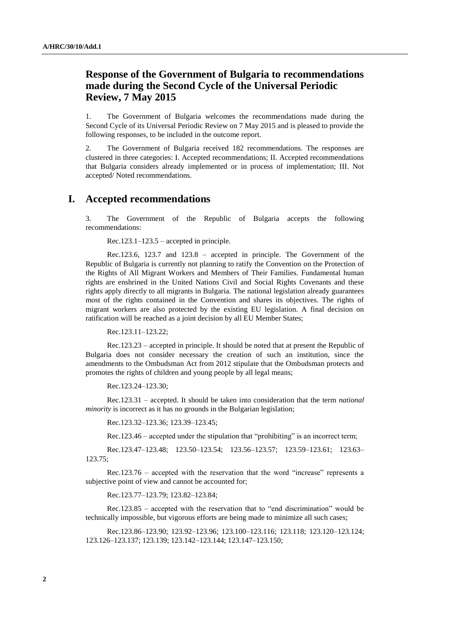## **Response of the Government of Bulgaria to recommendations made during the Second Cycle of the Universal Periodic Review, 7 May 2015**

1. The Government of Bulgaria welcomes the recommendations made during the Second Cycle of its Universal Periodic Review on 7 May 2015 and is pleased to provide the following responses, to be included in the outcome report.

2. The Government of Bulgaria received 182 recommendations. The responses are clustered in three categories: I. Accepted recommendations; II. Accepted recommendations that Bulgaria considers already implemented or in process of implementation; III. Not accepted/ Noted recommendations.

## **I. Accepted recommendations**

3. The Government of the Republic of Bulgaria accepts the following recommendations:

Rec.123.1–123.5 – accepted in principle.

Rec.123.6, 123.7 and 123.8 – accepted in principle. The Government of the Republic of Bulgaria is currently not planning to ratify the Convention on the Protection of the Rights of All Migrant Workers and Members of Their Families. Fundamental human rights are enshrined in the United Nations Civil and Social Rights Covenants and these rights apply directly to all migrants in Bulgaria. The national legislation already guarantees most of the rights contained in the Convention and shares its objectives. The rights of migrant workers are also protected by the existing EU legislation. A final decision on ratification will be reached as a joint decision by all EU Member States;

Rec.123.11–123.22;

Rec.123.23 – accepted in principle. It should be noted that at present the Republic of Bulgaria does not consider necessary the creation of such an institution, since the amendments to the Ombudsman Act from 2012 stipulate that the Ombudsman protects and promotes the rights of children and young people by all legal means;

Rec.123.24–123.30;

Rec.123.31 – accepted. It should be taken into consideration that the term *national minority* is incorrect as it has no grounds in the Bulgarian legislation;

Rec.123.32–123.36; 123.39–123.45;

Rec.123.46 – accepted under the stipulation that "prohibiting" is an incorrect term;

Rec.123.47–123.48; 123.50–123.54; 123.56–123.57; 123.59–123.61; 123.63– 123.75;

Rec.123.76 – accepted with the reservation that the word "increase" represents a subjective point of view and cannot be accounted for;

Rec.123.77–123.79; 123.82–123.84;

Rec.123.85 – accepted with the reservation that to "end discrimination" would be technically impossible, but vigorous efforts are being made to minimize all such cases;

Rec.123.86–123.90; 123.92–123.96; 123.100–123.116; 123.118; 123.120–123.124; 123.126–123.137; 123.139; 123.142–123.144; 123.147–123.150;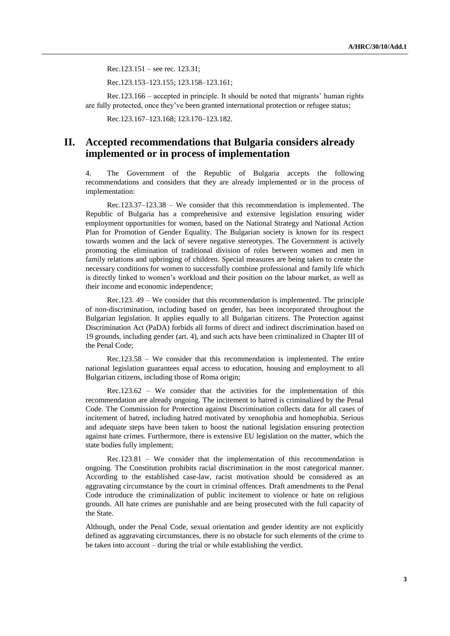Rec.123.151 – see rec. 123.31;

Rec.123.153–123.155; 123.158–123.161;

Rec.123.166 – accepted in principle. It should be noted that migrants' human rights are fully protected, once they've been granted international protection or refugee status;

Rec.123.167–123.168; 123.170–123.182.

## **II. Accepted recommendations that Bulgaria considers already implemented or in process of implementation**

4. The Government of the Republic of Bulgaria accepts the following recommendations and considers that they are already implemented or in the process of implementation:

Rec.123.37–123.38 – We consider that this recommendation is implemented. The Republic of Bulgaria has a comprehensive and extensive legislation ensuring wider employment opportunities for women, based on the National Strategy and National Action Plan for Promotion of Gender Equality. The Bulgarian society is known for its respect towards women and the lack of severe negative stereotypes. The Government is actively promoting the elimination of traditional division of roles between women and men in family relations and upbringing of children. Special measures are being taken to create the necessary conditions for women to successfully combine professional and family life which is directly linked to women's workload and their position on the labour market, as well as their income and economic independence;

Rec.123. 49 – We consider that this recommendation is implemented. The principle of non-discrimination, including based on gender, has been incorporated throughout the Bulgarian legislation. It applies equally to all Bulgarian citizens. The Protection against Discrimination Act (PaDA) forbids all forms of direct and indirect discrimination based on 19 grounds, including gender (art. 4), and such acts have been criminalized in Chapter III of the Penal Code;

Rec.123.58 – We consider that this recommendation is implemented. The entire national legislation guarantees equal access to education, housing and employment to all Bulgarian citizens, including those of Roma origin;

Rec.123.62 – We consider that the activities for the implementation of this recommendation are already ongoing. The incitement to hatred is criminalized by the Penal Code. The Commission for Protection against Discrimination collects data for all cases of incitement of hatred, including hatred motivated by xenophobia and homophobia. Serious and adequate steps have been taken to boost the national legislation ensuring protection against hate crimes. Furthermore, there is extensive EU legislation on the matter, which the state bodies fully implement;

Rec.123.81 – We consider that the implementation of this recommendation is ongoing. The Constitution prohibits racial discrimination in the most categorical manner. According to the established case-law, racist motivation should be considered as an aggravating circumstance by the court in criminal offences. Draft amendments to the Penal Code introduce the criminalization of public incitement to violence or hate on religious grounds. All hate crimes are punishable and are being prosecuted with the full capacity of the State.

Although, under the Penal Code, sexual orientation and gender identity are not explicitly defined as aggravating circumstances, there is no obstacle for such elements of the crime to be taken into account – during the trial or while establishing the verdict.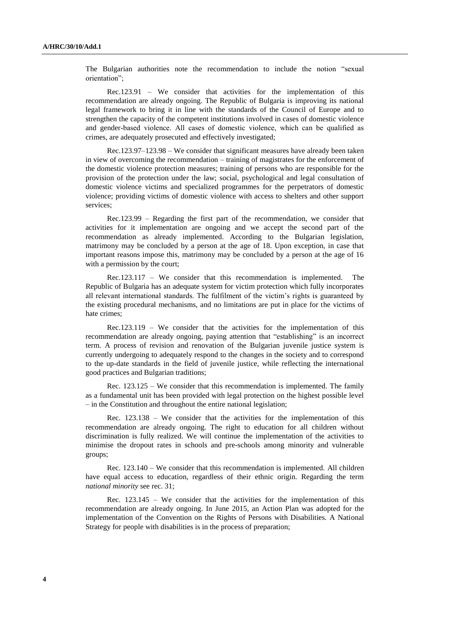The Bulgarian authorities note the recommendation to include the notion "sexual orientation";

Rec.123.91 – We consider that activities for the implementation of this recommendation are already ongoing. The Republic of Bulgaria is improving its national legal framework to bring it in line with the standards of the Council of Europe and to strengthen the capacity of the competent institutions involved in cases of domestic violence and gender-based violence. Аll cases of domestic violence, which can be qualified as crimes, are adequately prosecuted and effectively investigated;

Rec.123.97–123.98 – We consider that significant measures have already been taken in view of overcoming the recommendation – training of magistrates for the enforcement of the domestic violence protection measures; training of persons who are responsible for the provision of the protection under the law; social, psychological and legal consultation of domestic violence victims and specialized programmes for the perpetrators of domestic violence; providing victims of domestic violence with access to shelters and other support services;

Rec.123.99 – Regarding the first part of the recommendation, we consider that activities for it implementation are ongoing and we accept the second part of the recommendation as already implemented. According to the Bulgarian legislation, matrimony may be concluded by a person at the age of 18. Upon exception, in case that important reasons impose this, matrimony may be concluded by a person at the age of 16 with a permission by the court;

Rec.123.117 – We consider that this recommendation is implemented. The Republic of Bulgaria has an adequate system for victim protection which fully incorporates all relevant international standards. The fulfilment of the victim's rights is guaranteed by the existing procedural mechanisms, and no limitations are put in place for the victims of hate crimes;

Rec.123.119 – We consider that the activities for the implementation of this recommendation are already ongoing, paying attention that "establishing" is an incorrect term. A process of revision and renovation of the Bulgarian juvenile justice system is currently undergoing to adequately respond to the changes in the society and to correspond to the up-date standards in the field of juvenile justice, while reflecting the international good practices and Bulgarian traditions;

Rec. 123.125 – We consider that this recommendation is implemented. The family as a fundamental unit has been provided with legal protection on the highest possible level – in the Constitution and throughout the entire national legislation;

Rec. 123.138 – We consider that the activities for the implementation of this recommendation are already ongoing. The right to education for all children without discrimination is fully realized. We will continue the implementation of the activities to minimise the dropout rates in schools and pre-schools among minority and vulnerable groups;

Rec. 123.140 – We consider that this recommendation is implemented. All children have equal access to education, regardless of their ethnic origin. Regarding the term *national minority* see rec. 31;

Rec. 123.145 – We consider that the activities for the implementation of this recommendation are already ongoing. In June 2015, an Action Plan was adopted for the implementation of the Convention on the Rights of Persons with Disabilities. A National Strategy for people with disabilities is in the process of preparation;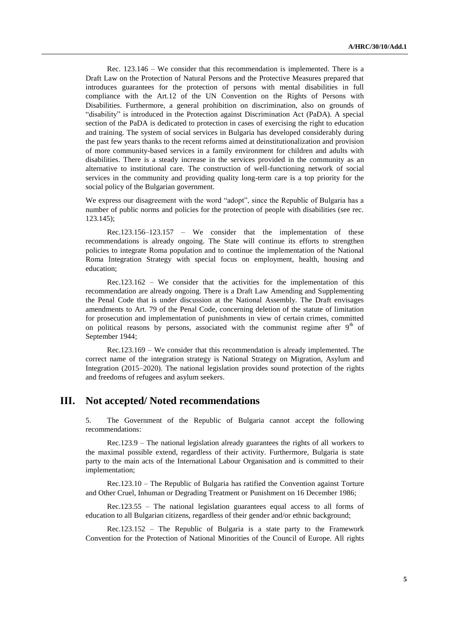Rec. 123.146 – We consider that this recommendation is implemented. There is a Draft Law on the Protection of Natural Persons and the Protective Measures prepared that introduces guarantees for the protection of persons with mental disabilities in full compliance with the Art.12 of the UN Convention on the Rights of Persons with Disabilities. Furthermore, a general prohibition on discrimination, also on grounds of "disability" is introduced in the Protection against Discrimination Act (PaDA). A special section of the PaDA is dedicated to protection in cases of exercising the right to education and training. The system of social services in Bulgaria has developed considerably during the past few years thanks to the recent reforms aimed at deinstitutionalization and provision of more community-based services in a family environment for children and adults with disabilities. There is a steady increase in the services provided in the community as an alternative to institutional care. The construction of well-functioning network of social services in the community and providing quality long-term care is a top priority for the social policy of the Bulgarian government.

We express our disagreement with the word "adopt", since the Republic of Bulgaria has a number of public norms and policies for the protection of people with disabilities (see rec. 123.145);

Rec.123.156–123.157 – We consider that the implementation of these recommendations is already ongoing. The State will continue its efforts to strengthen policies to integrate Roma population and to continue the implementation of the National Roma Integration Strategy with special focus on employment, health, housing and education;

Rec.123.162 – We consider that the activities for the implementation of this recommendation are already ongoing. There is a Draft Law Amending and Supplementing the Penal Code that is under discussion at the National Assembly. The Draft envisages amendments to Art. 79 of the Penal Code, concerning deletion of the statute of limitation for prosecution and implementation of punishments in view of certain crimes, committed on political reasons by persons, associated with the communist regime after  $9<sup>th</sup>$  of September 1944;

Rec.123.169 – We consider that this recommendation is already implemented. The correct name of the integration strategy is National Strategy on Migration, Asylum and Integration (2015–2020). The national legislation provides sound protection of the rights and freedoms of refugees and asylum seekers.

## **ІІІ. Not accepted/ Noted recommendations**

5. The Government of the Republic of Bulgaria cannot accept the following recommendations:

Rec.123.9 – The national legislation already guarantees the rights of all workers to the maximal possible extend, regardless of their activity. Furthermore, Bulgaria is state party to the main acts of the International Labour Organisation and is committed to their implementation;

Rec.123.10 – The Republic of Bulgaria has ratified the Convention against Torture and Other Cruel, Inhuman or Degrading Treatment or Punishment on 16 December 1986;

Rec.123.55 – The national legislation guarantees equal access to all forms of education to all Bulgarian citizens, regardless of their gender and/or ethnic background;

Rec.123.152 – The Republic of Bulgaria is a state party to the Framework Convention for the Protection of National Minorities of the Council of Europe. All rights